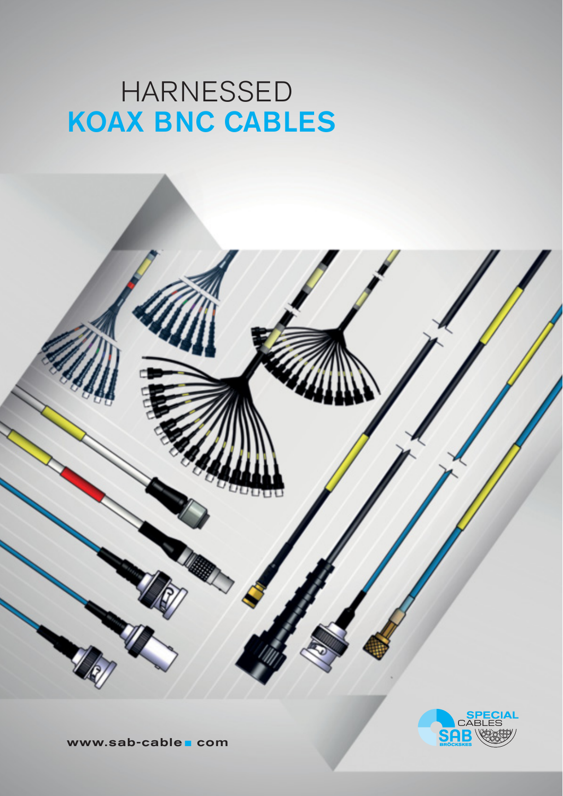# HARNESSED KOAX BNC CABLES



www.sab-cable. com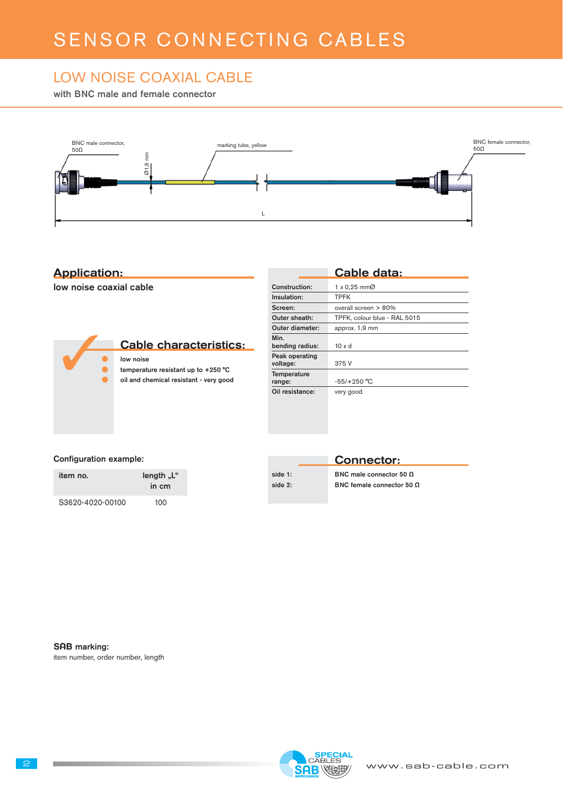# LOW NOISE COAXIAL CABLE

with BNC male and female connector



### Application:

low noise coaxial cable



|                            | Cable data:                  |
|----------------------------|------------------------------|
| Construction:              | 1 x 0,25 mmØ                 |
| Insulation:                | TPFK                         |
| Screen:                    | overall screen $> 80\%$      |
| Outer sheath:              | TPFK, colour blue - RAL 5015 |
| Outer diameter:            | approx. 1,9 mm               |
| Min.<br>bending radius:    | $10 \times d$                |
| Peak operating<br>voltage: | 375 V                        |
| Temperature<br>range:      | $-55/+250 °C$                |
| Oil resistance:            | very good                    |

#### Configuration example:

| item no.         | length "L"<br>in cm |
|------------------|---------------------|
| S3620-4020-00100 | 100                 |

## Connector:

side 1: BNC male connector 50 Ω side 2: BNC female connector 50 Ω

**SAB** marking: item number, order number, length

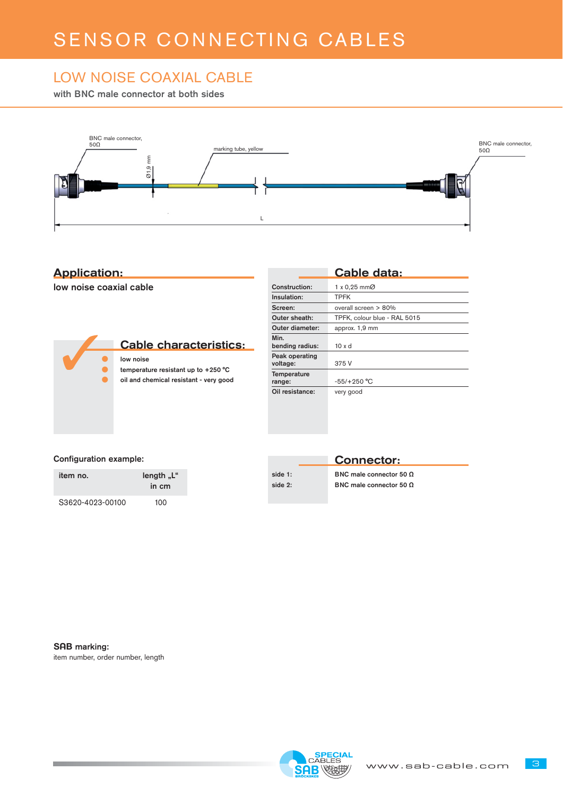# LOW NOISE COAXIAL CABLE

with BNC male connector at both sides



### Application:

low noise coaxial cable



|                            | Cable data:                  |
|----------------------------|------------------------------|
| Construction:              | 1 x 0,25 mmØ                 |
| Insulation:                | TPFK                         |
| Screen:                    | overall screen > 80%         |
| Outer sheath:              | TPFK, colour blue - RAL 5015 |
| Outer diameter:            | approx. 1,9 mm               |
| Min.<br>bending radius:    | $10 \times d$                |
| Peak operating<br>voltage: | 375 V                        |
| Temperature<br>range:      | $-55/+250 °C$                |
| Oil resistance:            | very good                    |

#### Configuration example:

| item no.         | length "L"<br>in cm |
|------------------|---------------------|
| S3620-4023-00100 | 100                 |

|            | <b>Connector:</b>              |
|------------|--------------------------------|
| side $1$ : | BNC male connector 50 $\Omega$ |
| side 2:    | BNC male connector 50 $\Omega$ |

**SAB** marking: item number, order number, length



3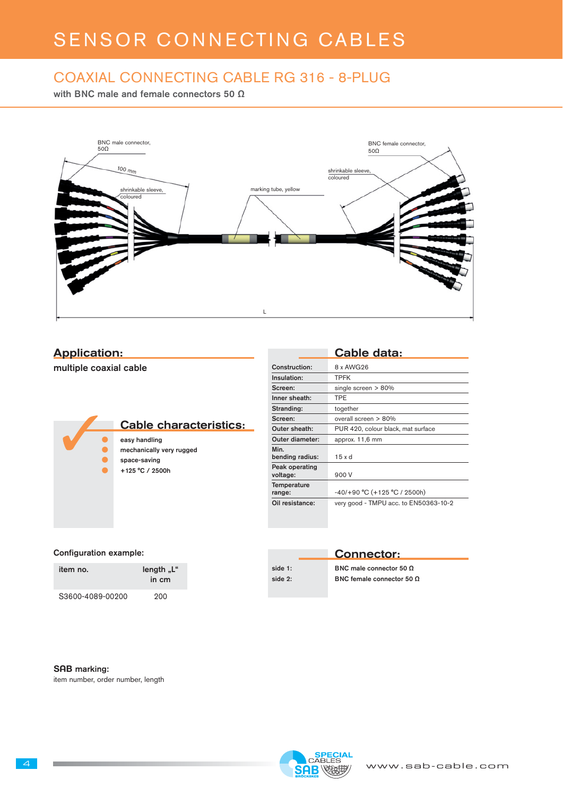# COAXIAL CONNECTING CABLE RG 316 - 8-PLUG

with BNC male and female connectors 50 Ω



### Application:

multiple coaxial cable



|                            | Cable data:                           |
|----------------------------|---------------------------------------|
| Construction:              | 8 x AWG26                             |
| Insulation:                | <b>TPFK</b>                           |
| Screen:                    | single screen > 80%                   |
| Inner sheath:              | <b>TPE</b>                            |
| Stranding:                 | together                              |
| Screen:                    | overall screen $> 80\%$               |
| Outer sheath:              | PUR 420, colour black, mat surface    |
| Outer diameter:            | approx. 11,6 mm                       |
| Min.<br>bending radius:    | $15 \times d$                         |
| Peak operating<br>voltage: | 900 V                                 |
| Temperature<br>range:      | $-40/+90 °C (+125 °C / 2500h)$        |
| Oil resistance:            | very good - TMPU acc. to EN50363-10-2 |

#### Configuration example:

| item no.         | length "L"<br>in cm |
|------------------|---------------------|
| S3600-4089-00200 | 200                 |

|         | <b>Connector:</b>                |
|---------|----------------------------------|
| side 1: | BNC male connector 50 $\Omega$   |
| side 2: | BNC female connector 50 $\Omega$ |

### **SAB** marking:

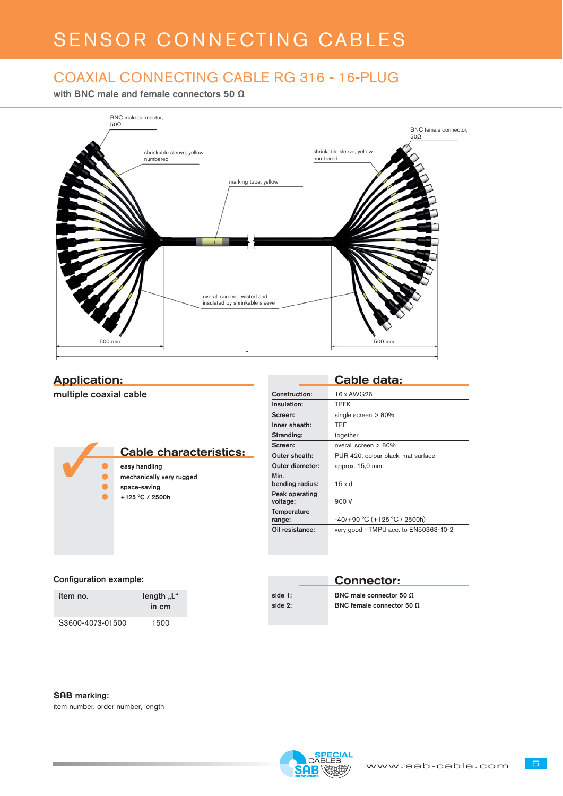# COAXIAL CONNECTING CABLE RG 316 - 16-PLUG

with BNC male and female connectors 50 Ω



### Application:

multiple coaxial cable



### Cable data:

| Construction:              | 16 x AWG26                            |
|----------------------------|---------------------------------------|
| Insulation:                | <b>TPFK</b>                           |
| Screen:                    | single screen $> 80\%$                |
| Inner sheath:              | TPE                                   |
| Stranding:                 | together                              |
| Screen:                    | overall screen $> 80\%$               |
| Outer sheath:              | PUR 420, colour black, mat surface    |
| Outer diameter:            | approx. 15,0 mm                       |
| Min.<br>bending radius:    | $15 \times d$                         |
| Peak operating<br>voltage: | 900 V                                 |
| Temperature<br>range:      | $-40/+90 °C (+125 °C / 2500h)$        |
| Oil resistance:            | very good - TMPU acc. to EN50363-10-2 |

#### Configuration example:

| item no.         | length "L"<br>in cm |
|------------------|---------------------|
| S3600-4073-01500 | 1500                |

| <b>Connector:</b> |         |                                  |
|-------------------|---------|----------------------------------|
|                   | side 1: | BNC male connector 50 $\Omega$   |
|                   | side 2: | BNC female connector 50 $\Omega$ |

**SAB** marking:

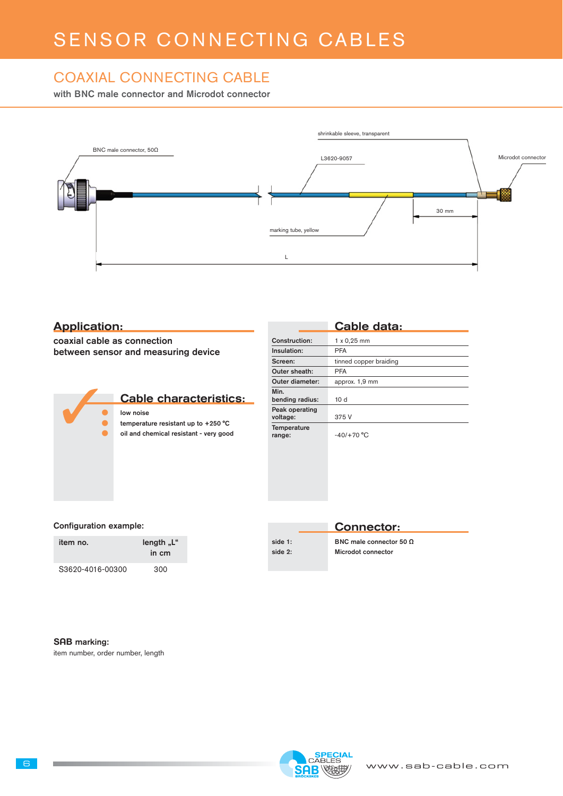# COAXIAL CONNECTING CABLE

with BNC male connector and Microdot connector



### Application:

coaxial cable as connection between sensor and measuring device



|                            | Cable data:            |
|----------------------------|------------------------|
| Construction:              | $1 \times 0,25$ mm     |
| Insulation:                | <b>PFA</b>             |
| Screen:                    | tinned copper braiding |
| Outer sheath:              | <b>PFA</b>             |
| Outer diameter:            | approx. 1,9 mm         |
| Min.<br>bending radius:    | 10d                    |
| Peak operating<br>voltage: | 375 V                  |
| Temperature<br>range:      | $-40/+70$ °C           |

#### Configuration example:

| item no.         | length "L"<br>in cm |
|------------------|---------------------|
| S3620-4016-00300 | 300                 |

|         | Connector:                     |
|---------|--------------------------------|
| side 1: | BNC male connector 50 $\Omega$ |
| side 2: | Microdot connector             |

#### **SAB** marking:

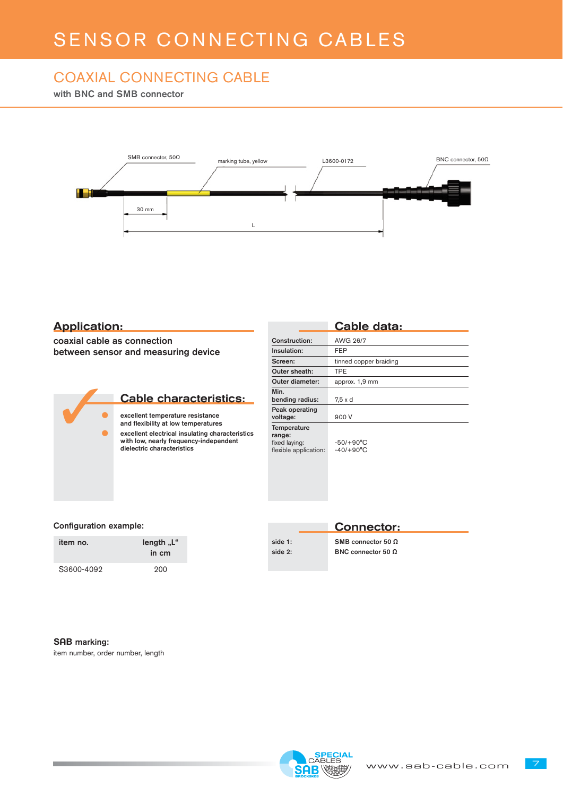# SENSOR CONNECTING CABLES

# COAXIAL CONNECTING CABLE

with BNC and SMB connector



### Application:

coaxial cable as connection between sensor and measuring device



|                                                                 | <b>Cable data:</b>                 |
|-----------------------------------------------------------------|------------------------------------|
| Construction:                                                   | AWG 26/7                           |
| Insulation:                                                     | FEP                                |
| Screen:                                                         | tinned copper braiding             |
| Outer sheath:                                                   | TPE                                |
| Outer diameter:                                                 | approx. 1,9 mm                     |
| Min.<br>bending radius:                                         | 7,5 x d                            |
| Peak operating<br>voltage:                                      | 900 V                              |
| Temperature<br>range:<br>fixed laying:<br>flexible application: | $-50/+90^{\circ}$ C<br>$-40/+90°C$ |

#### Configuration example:

| item no.   | length "L"<br>in cm |
|------------|---------------------|
| S3600-4092 | 200                 |

|         | <b>Connector:</b>         |
|---------|---------------------------|
| side 1: | SMB connector 50 $\Omega$ |
| side 2: | BNC connector 50 $\Omega$ |
|         |                           |

#### **SAB** marking: